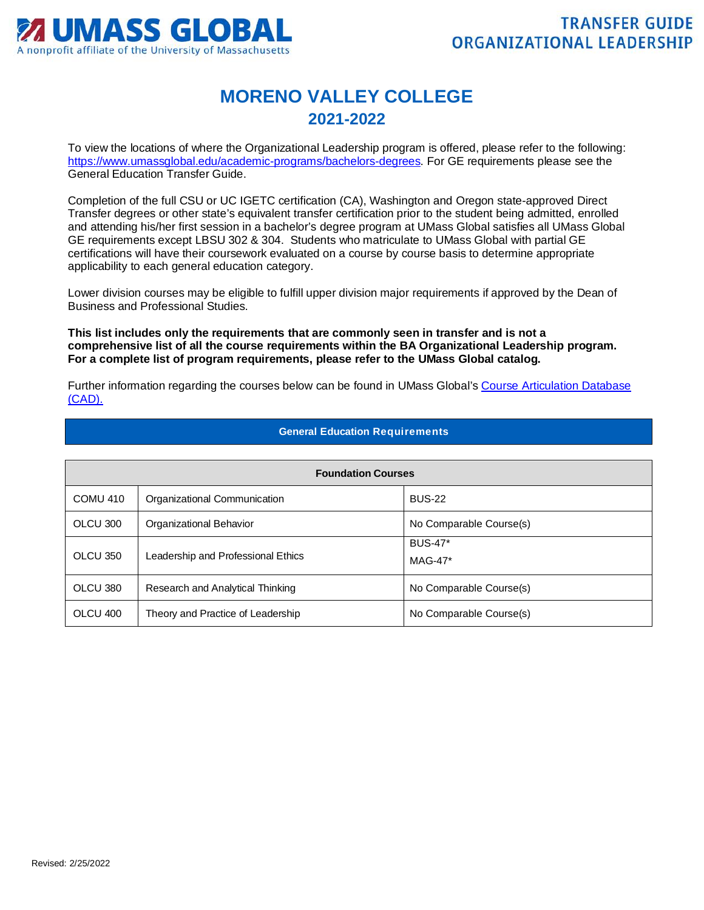

## **MORENO VALLEY COLLEGE 2021-2022**

To view the locations of where the Organizational Leadership program is offered, please refer to the following: [https://www.umassglobal.edu/academic-programs/bachelors-degrees.](https://www.umassglobal.edu/academic-programs/bachelors-degrees) For GE requirements please see the General Education Transfer Guide.

Completion of the full CSU or UC IGETC certification (CA), Washington and Oregon state-approved Direct Transfer degrees or other state's equivalent transfer certification prior to the student being admitted, enrolled and attending his/her first session in a bachelor's degree program at UMass Global satisfies all UMass Global GE requirements except LBSU 302 & 304. Students who matriculate to UMass Global with partial GE certifications will have their coursework evaluated on a course by course basis to determine appropriate applicability to each general education category.

Lower division courses may be eligible to fulfill upper division major requirements if approved by the Dean of Business and Professional Studies.

**This list includes only the requirements that are commonly seen in transfer and is not a comprehensive list of all the course requirements within the BA Organizational Leadership program. For a complete list of program requirements, please refer to the UMass Global catalog.**

Further information regarding the courses below can be found in UMass Global'[s Course Articulation Database](http://services.umassglobal.edu/studentservices/TransferCredit/)  [\(CAD\).](http://services.umassglobal.edu/studentservices/TransferCredit/) 

## **General Education Requirements**

| <b>Foundation Courses</b> |                                    |                             |
|---------------------------|------------------------------------|-----------------------------|
| <b>COMU 410</b>           | Organizational Communication       | <b>BUS-22</b>               |
| OLCU 300                  | Organizational Behavior            | No Comparable Course(s)     |
| OLCU 350                  | Leadership and Professional Ethics | <b>BUS-47*</b><br>$MAG-47*$ |
| OLCU 380                  | Research and Analytical Thinking   | No Comparable Course(s)     |
| OLCU 400                  | Theory and Practice of Leadership  | No Comparable Course(s)     |